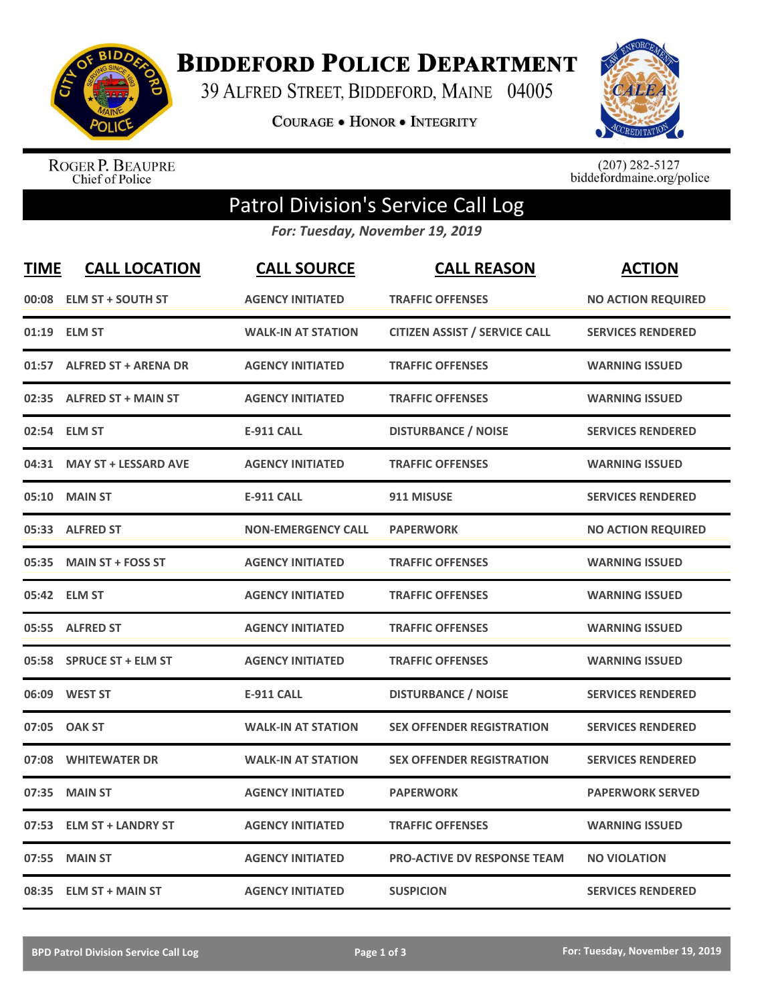

**BIDDEFORD POLICE DEPARTMENT** 

39 ALFRED STREET, BIDDEFORD, MAINE 04005

**COURAGE . HONOR . INTEGRITY** 



ROGER P. BEAUPRE<br>Chief of Police

 $(207)$  282-5127<br>biddefordmaine.org/police

## Patrol Division's Service Call Log

*For: Tuesday, November 19, 2019*

| <b>TIME</b> | <b>CALL LOCATION</b>        | <b>CALL SOURCE</b>        | <b>CALL REASON</b>                   | <b>ACTION</b>             |
|-------------|-----------------------------|---------------------------|--------------------------------------|---------------------------|
| 00:08       | <b>ELM ST + SOUTH ST</b>    | <b>AGENCY INITIATED</b>   | <b>TRAFFIC OFFENSES</b>              | <b>NO ACTION REQUIRED</b> |
| 01:19       | <b>ELM ST</b>               | <b>WALK-IN AT STATION</b> | <b>CITIZEN ASSIST / SERVICE CALL</b> | <b>SERVICES RENDERED</b>  |
| 01:57       | <b>ALFRED ST + ARENA DR</b> | <b>AGENCY INITIATED</b>   | <b>TRAFFIC OFFENSES</b>              | <b>WARNING ISSUED</b>     |
| 02:35       | <b>ALFRED ST + MAIN ST</b>  | <b>AGENCY INITIATED</b>   | <b>TRAFFIC OFFENSES</b>              | <b>WARNING ISSUED</b>     |
| 02:54       | <b>ELM ST</b>               | <b>E-911 CALL</b>         | <b>DISTURBANCE / NOISE</b>           | <b>SERVICES RENDERED</b>  |
| 04:31       | <b>MAY ST + LESSARD AVE</b> | <b>AGENCY INITIATED</b>   | <b>TRAFFIC OFFENSES</b>              | <b>WARNING ISSUED</b>     |
| 05:10       | <b>MAIN ST</b>              | <b>E-911 CALL</b>         | 911 MISUSE                           | <b>SERVICES RENDERED</b>  |
| 05:33       | <b>ALFRED ST</b>            | <b>NON-EMERGENCY CALL</b> | <b>PAPERWORK</b>                     | <b>NO ACTION REQUIRED</b> |
| 05:35       | <b>MAIN ST + FOSS ST</b>    | <b>AGENCY INITIATED</b>   | <b>TRAFFIC OFFENSES</b>              | <b>WARNING ISSUED</b>     |
|             | 05:42 ELM ST                | <b>AGENCY INITIATED</b>   | <b>TRAFFIC OFFENSES</b>              | <b>WARNING ISSUED</b>     |
|             | 05:55 ALFRED ST             | <b>AGENCY INITIATED</b>   | <b>TRAFFIC OFFENSES</b>              | <b>WARNING ISSUED</b>     |
|             | 05:58 SPRUCE ST + ELM ST    | <b>AGENCY INITIATED</b>   | <b>TRAFFIC OFFENSES</b>              | <b>WARNING ISSUED</b>     |
| 06:09       | <b>WEST ST</b>              | <b>E-911 CALL</b>         | <b>DISTURBANCE / NOISE</b>           | <b>SERVICES RENDERED</b>  |
| 07:05       | <b>OAK ST</b>               | <b>WALK-IN AT STATION</b> | <b>SEX OFFENDER REGISTRATION</b>     | <b>SERVICES RENDERED</b>  |
| 07:08       | <b>WHITEWATER DR</b>        | <b>WALK-IN AT STATION</b> | <b>SEX OFFENDER REGISTRATION</b>     | <b>SERVICES RENDERED</b>  |
| 07:35       | <b>MAIN ST</b>              | <b>AGENCY INITIATED</b>   | <b>PAPERWORK</b>                     | <b>PAPERWORK SERVED</b>   |
| 07:53       | <b>ELM ST + LANDRY ST</b>   | <b>AGENCY INITIATED</b>   | <b>TRAFFIC OFFENSES</b>              | <b>WARNING ISSUED</b>     |
| 07:55       | <b>MAIN ST</b>              | <b>AGENCY INITIATED</b>   | <b>PRO-ACTIVE DV RESPONSE TEAM</b>   | <b>NO VIOLATION</b>       |
|             | 08:35 ELM ST + MAIN ST      | <b>AGENCY INITIATED</b>   | <b>SUSPICION</b>                     | <b>SERVICES RENDERED</b>  |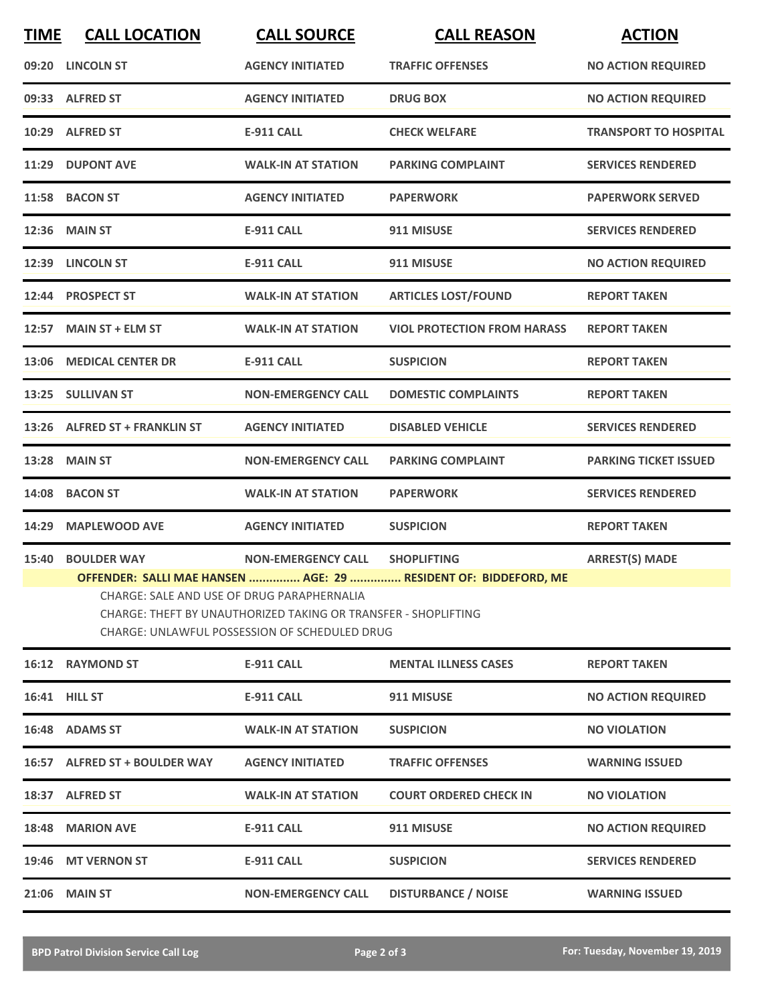| <b>TIME</b> | <b>CALL LOCATION</b>                                                                                                                                                                                                             | <b>CALL SOURCE</b>             | <b>CALL REASON</b>                 | <b>ACTION</b>                |  |  |
|-------------|----------------------------------------------------------------------------------------------------------------------------------------------------------------------------------------------------------------------------------|--------------------------------|------------------------------------|------------------------------|--|--|
|             | 09:20 LINCOLN ST                                                                                                                                                                                                                 | <b>AGENCY INITIATED</b>        | <b>TRAFFIC OFFENSES</b>            | <b>NO ACTION REQUIRED</b>    |  |  |
|             | 09:33 ALFRED ST                                                                                                                                                                                                                  | <b>AGENCY INITIATED</b>        | <b>DRUG BOX</b>                    | <b>NO ACTION REQUIRED</b>    |  |  |
|             | 10:29 ALFRED ST                                                                                                                                                                                                                  | <b>E-911 CALL</b>              | <b>CHECK WELFARE</b>               | <b>TRANSPORT TO HOSPITAL</b> |  |  |
|             | 11:29 DUPONT AVE                                                                                                                                                                                                                 | <b>WALK-IN AT STATION</b>      | <b>PARKING COMPLAINT</b>           | <b>SERVICES RENDERED</b>     |  |  |
|             | 11:58 BACON ST                                                                                                                                                                                                                   | <b>AGENCY INITIATED</b>        | <b>PAPERWORK</b>                   | <b>PAPERWORK SERVED</b>      |  |  |
|             | <b>12:36 MAIN ST</b>                                                                                                                                                                                                             | <b>E-911 CALL</b>              | 911 MISUSE                         | <b>SERVICES RENDERED</b>     |  |  |
|             | 12:39 LINCOLN ST                                                                                                                                                                                                                 | <b>E-911 CALL</b>              | 911 MISUSE                         | <b>NO ACTION REQUIRED</b>    |  |  |
|             | 12:44 PROSPECT ST                                                                                                                                                                                                                | <b>WALK-IN AT STATION</b>      | <b>ARTICLES LOST/FOUND</b>         | <b>REPORT TAKEN</b>          |  |  |
|             | 12:57 MAIN ST + ELM ST                                                                                                                                                                                                           | <b>WALK-IN AT STATION</b>      | <b>VIOL PROTECTION FROM HARASS</b> | <b>REPORT TAKEN</b>          |  |  |
|             | 13:06 MEDICAL CENTER DR                                                                                                                                                                                                          | <b>E-911 CALL</b>              | <b>SUSPICION</b>                   | <b>REPORT TAKEN</b>          |  |  |
|             | 13:25 SULLIVAN ST                                                                                                                                                                                                                | <b>NON-EMERGENCY CALL</b>      | <b>DOMESTIC COMPLAINTS</b>         | <b>REPORT TAKEN</b>          |  |  |
|             | 13:26 ALFRED ST + FRANKLIN ST                                                                                                                                                                                                    | <b>AGENCY INITIATED</b>        | <b>DISABLED VEHICLE</b>            | <b>SERVICES RENDERED</b>     |  |  |
| 13:28       | <b>MAIN ST</b>                                                                                                                                                                                                                   | <b>NON-EMERGENCY CALL</b>      | <b>PARKING COMPLAINT</b>           | <b>PARKING TICKET ISSUED</b> |  |  |
|             | 14:08 BACON ST                                                                                                                                                                                                                   | <b>WALK-IN AT STATION</b>      | <b>PAPERWORK</b>                   | <b>SERVICES RENDERED</b>     |  |  |
| 14:29       | <b>MAPLEWOOD AVE</b>                                                                                                                                                                                                             | <b>AGENCY INITIATED</b>        | <b>SUSPICION</b>                   | <b>REPORT TAKEN</b>          |  |  |
| 15:40       | <b>BOULDER WAY</b>                                                                                                                                                                                                               | NON-EMERGENCY CALL SHOPLIFTING |                                    | <b>ARREST(S) MADE</b>        |  |  |
|             | OFFENDER: SALLI MAE HANSEN  AGE: 29  RESIDENT OF: BIDDEFORD, ME<br>CHARGE: SALE AND USE OF DRUG PARAPHERNALIA<br>CHARGE: THEFT BY UNAUTHORIZED TAKING OR TRANSFER - SHOPLIFTING<br>CHARGE: UNLAWFUL POSSESSION OF SCHEDULED DRUG |                                |                                    |                              |  |  |
|             | <b>16:12 RAYMOND ST</b>                                                                                                                                                                                                          | <b>E-911 CALL</b>              | <b>MENTAL ILLNESS CASES</b>        | <b>REPORT TAKEN</b>          |  |  |
|             | <b>16:41 HILL ST</b>                                                                                                                                                                                                             | E-911 CALL                     | 911 MISUSE                         | <b>NO ACTION REQUIRED</b>    |  |  |
|             | 16:48 ADAMS ST                                                                                                                                                                                                                   | <b>WALK-IN AT STATION</b>      | <b>SUSPICION</b>                   | <b>NO VIOLATION</b>          |  |  |
|             | 16:57 ALFRED ST + BOULDER WAY                                                                                                                                                                                                    | <b>AGENCY INITIATED</b>        | <b>TRAFFIC OFFENSES</b>            | <b>WARNING ISSUED</b>        |  |  |
|             | 18:37 ALFRED ST                                                                                                                                                                                                                  | <b>WALK-IN AT STATION</b>      | <b>COURT ORDERED CHECK IN</b>      | <b>NO VIOLATION</b>          |  |  |
|             | 18:48 MARION AVE                                                                                                                                                                                                                 | <b>E-911 CALL</b>              | 911 MISUSE                         | <b>NO ACTION REQUIRED</b>    |  |  |
|             | 19:46 MT VERNON ST                                                                                                                                                                                                               | <b>E-911 CALL</b>              | <b>SUSPICION</b>                   | <b>SERVICES RENDERED</b>     |  |  |
| 21:06       | <b>MAIN ST</b>                                                                                                                                                                                                                   | <b>NON-EMERGENCY CALL</b>      | <b>DISTURBANCE / NOISE</b>         | <b>WARNING ISSUED</b>        |  |  |